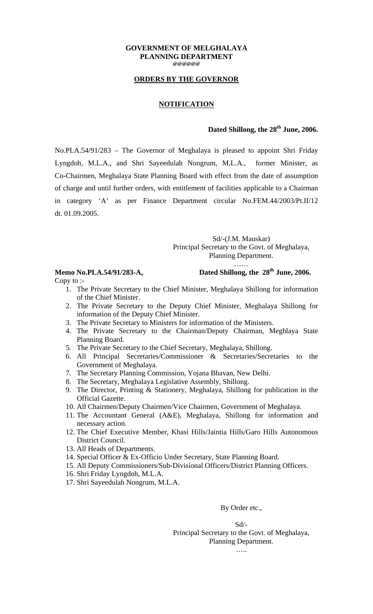### **GOVERNMENT OF MELGHALAYA PLANNING DEPARTMENT @@@@@@**

# **ORDERS BY THE GOVERNOR**

### **NOTIFICATION**

## **Dated Shillong, the 28th June, 2006.**

No.PLA.54/91/283 – The Governor of Meghalaya is pleased to appoint Shri Friday Lyngdoh, M.L.A., and Shri Sayeedulah Nongrum, M.L.A., former Minister, as Co-Chairmen, Meghalaya State Planning Board with effect from the date of assumption of charge and until further orders, with entitlement of facilities applicable to a Chairman in category 'A' as per Finance Department circular No.FEM.44/2003/Pt.II/12 dt. 01.09.2005.

### Sd/-(J.M. Mauskar) Principal Secretary to the Govt. of Meghalaya, Planning Department.

……

# **Memo No.PLA.54/91/283-A, Dated Shillong, the 28th June, 2006.**

Copy to :-

- 1. The Private Secretary to the Chief Minister, Meghalaya Shillong for information of the Chief Minister.
- 2. The Private Secretary to the Deputy Chief Minister, Meghalaya Shillong for information of the Deputy Chief Minister.
- 3. The Private Secretary to Ministers for information of the Ministers.
- 4. The Private Secretary to the Chairman/Deputy Chairman, Meghlaya State Planning Board.
- 5. The Private Secretary to the Chief Secretary, Meghalaya, Shillong.
- 6. All Principal Secretaries/Commissioner & Secretaries/Secretaries to the Government of Meghalaya.
- 7. The Secretary Planning Commission, Yojana Bhavan, New Delhi.
- 8. The Secretary, Meghalaya Legislative Assembly, Shillong.
- 9. The Director, Printing & Stationery, Meghalaya, Shillong for publication in the Official Gazette.
- 10. All Chairmen/Deputy Chairmen/Vice Chairmen, Government of Meghalaya.
- 11. The Accountant General (A&E), Meghalaya, Shillong for information and necessary action.
- 12. The Chief Executive Member, Khasi Hills/Jaintia Hills/Garo Hills Autonomous District Council.
- 13. All Heads of Departments.
- 14. Special Officer & Ex-Officio Under Secretary, State Planning Board.
- 15. All Deputy Commissioners/Sub-Divisional Officers/District Planning Officers.
- 16. Shri Friday Lyngdoh, M.L.A.
- 17. Shri Sayeedulah Nongrum, M.L.A.

### By Order etc.,

Sd/-

Principal Secretary to the Govt. of Meghalaya, Planning Department.

…..